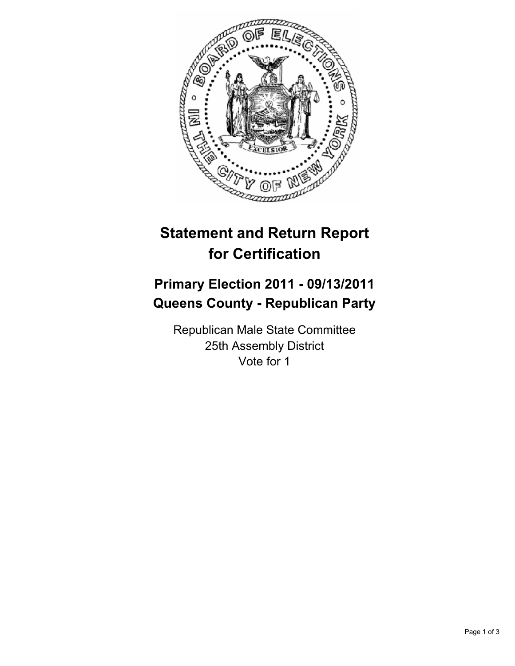

## **Statement and Return Report for Certification**

## **Primary Election 2011 - 09/13/2011 Queens County - Republican Party**

Republican Male State Committee 25th Assembly District Vote for 1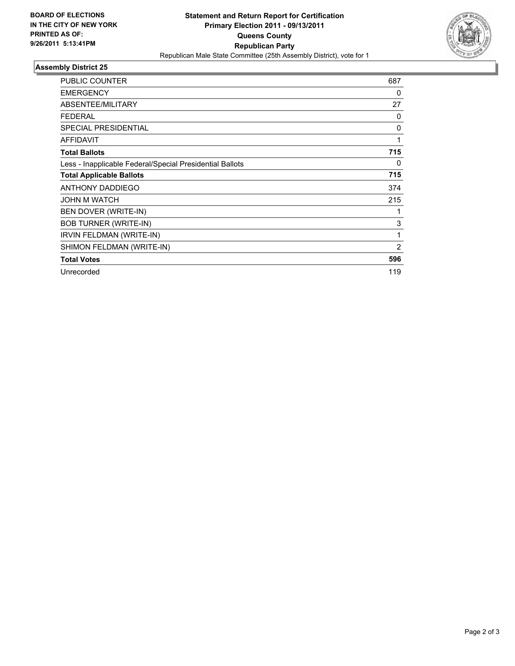

## **Assembly District 25**

| <b>PUBLIC COUNTER</b>                                    | 687            |
|----------------------------------------------------------|----------------|
| <b>EMERGENCY</b>                                         | 0              |
| ABSENTEE/MILITARY                                        | 27             |
| <b>FEDERAL</b>                                           | 0              |
| <b>SPECIAL PRESIDENTIAL</b>                              | 0              |
| <b>AFFIDAVIT</b>                                         | 1              |
| <b>Total Ballots</b>                                     | 715            |
| Less - Inapplicable Federal/Special Presidential Ballots | 0              |
| <b>Total Applicable Ballots</b>                          | 715            |
| <b>ANTHONY DADDIEGO</b>                                  | 374            |
| <b>JOHN M WATCH</b>                                      | 215            |
| BEN DOVER (WRITE-IN)                                     |                |
| <b>BOB TURNER (WRITE-IN)</b>                             | 3              |
| IRVIN FELDMAN (WRITE-IN)                                 | 1              |
| SHIMON FELDMAN (WRITE-IN)                                | $\overline{2}$ |
| <b>Total Votes</b>                                       | 596            |
| Unrecorded                                               | 119            |